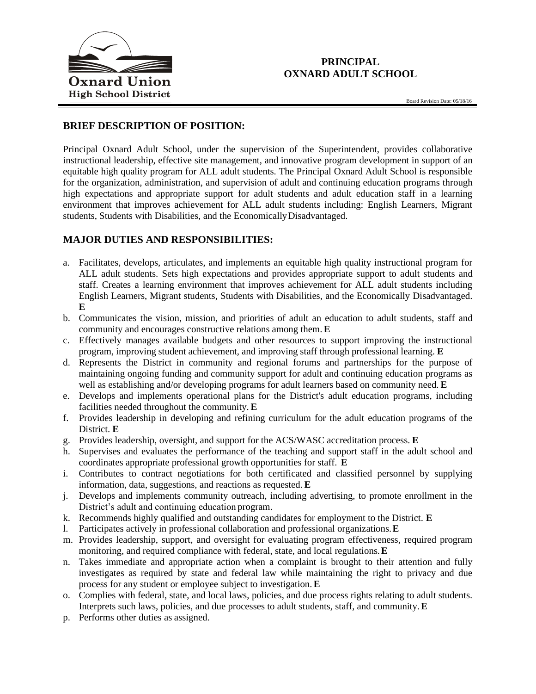

# **PRINCIPAL OXNARD ADULT SCHOOL**

#### **BRIEF DESCRIPTION OF POSITION:**

Principal Oxnard Adult School, under the supervision of the Superintendent, provides collaborative instructional leadership, effective site management, and innovative program development in support of an equitable high quality program for ALL adult students. The Principal Oxnard Adult School is responsible for the organization, administration, and supervision of adult and continuing education programs through high expectations and appropriate support for adult students and adult education staff in a learning environment that improves achievement for ALL adult students including: English Learners, Migrant students, Students with Disabilities, and the EconomicallyDisadvantaged.

## **MAJOR DUTIES AND RESPONSIBILITIES:**

- a. Facilitates, develops, articulates, and implements an equitable high quality instructional program for ALL adult students. Sets high expectations and provides appropriate support to adult students and staff. Creates a learning environment that improves achievement for ALL adult students including English Learners, Migrant students, Students with Disabilities, and the Economically Disadvantaged. **E**
- b. Communicates the vision, mission, and priorities of adult an education to adult students, staff and community and encourages constructive relations among them.**E**
- c. Effectively manages available budgets and other resources to support improving the instructional program, improving student achievement, and improving staff through professional learning. **E**
- d. Represents the District in community and regional forums and partnerships for the purpose of maintaining ongoing funding and community support for adult and continuing education programs as well as establishing and/or developing programs for adult learners based on community need. **E**
- e. Develops and implements operational plans for the District's adult education programs, including facilities needed throughout the community. **E**
- f. Provides leadership in developing and refining curriculum for the adult education programs of the District. **E**
- g. Provides leadership, oversight, and support for the ACS/WASC accreditation process. **E**
- h. Supervises and evaluates the performance of the teaching and support staff in the adult school and coordinates appropriate professional growth opportunities for staff. **E**
- i. Contributes to contract negotiations for both certificated and classified personnel by supplying information, data, suggestions, and reactions as requested.**E**
- j. Develops and implements community outreach, including advertising, to promote enrollment in the District's adult and continuing education program.
- k. Recommends highly qualified and outstanding candidates for employment to the District. **E**
- l. Participates actively in professional collaboration and professional organizations.**E**
- m. Provides leadership, support, and oversight for evaluating program effectiveness, required program monitoring, and required compliance with federal, state, and local regulations.**E**
- n. Takes immediate and appropriate action when a complaint is brought to their attention and fully investigates as required by state and federal law while maintaining the right to privacy and due process for any student or employee subject to investigation.**E**
- o. Complies with federal, state, and local laws, policies, and due process rights relating to adult students. Interprets such laws, policies, and due processes to adult students, staff, and community.**E**
- p. Performs other duties as assigned.